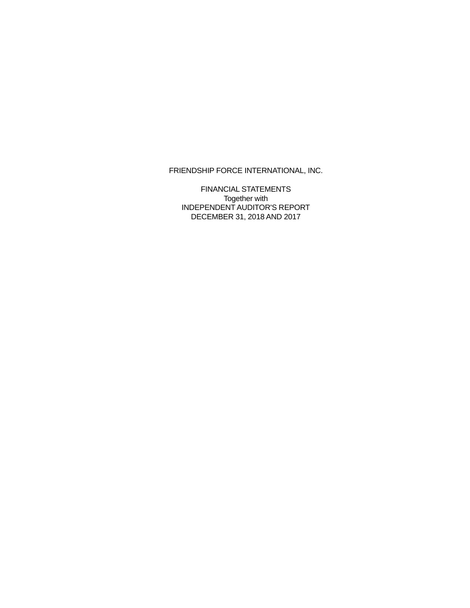FINANCIAL STATEMENTS Together with INDEPENDENT AUDITOR'S REPORT DECEMBER 31, 2018 AND 2017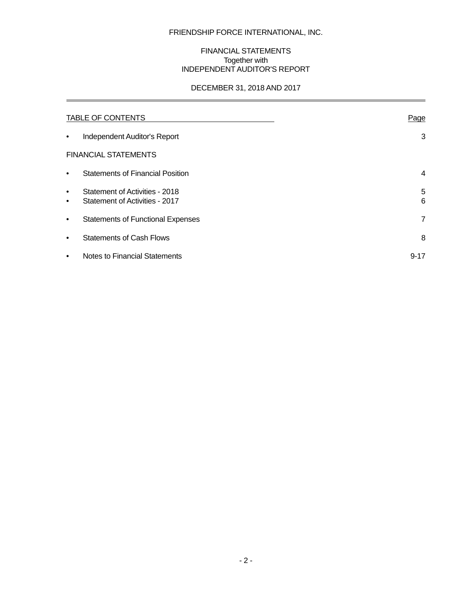## FINANCIAL STATEMENTS Together with INDEPENDENT AUDITOR'S REPORT

## DECEMBER 31, 2018 AND 2017

 $\overline{a}$ 

|                        | <b>TABLE OF CONTENTS</b>                                         | Page           |
|------------------------|------------------------------------------------------------------|----------------|
| $\bullet$              | Independent Auditor's Report                                     | 3              |
|                        | <b>FINANCIAL STATEMENTS</b>                                      |                |
| $\bullet$              | <b>Statements of Financial Position</b>                          | 4              |
| $\bullet$<br>$\bullet$ | Statement of Activities - 2018<br>Statement of Activities - 2017 | 5<br>6         |
| $\bullet$              | <b>Statements of Functional Expenses</b>                         | $\overline{7}$ |
| $\bullet$              | <b>Statements of Cash Flows</b>                                  | 8              |
| $\bullet$              | Notes to Financial Statements                                    | $9 - 17$       |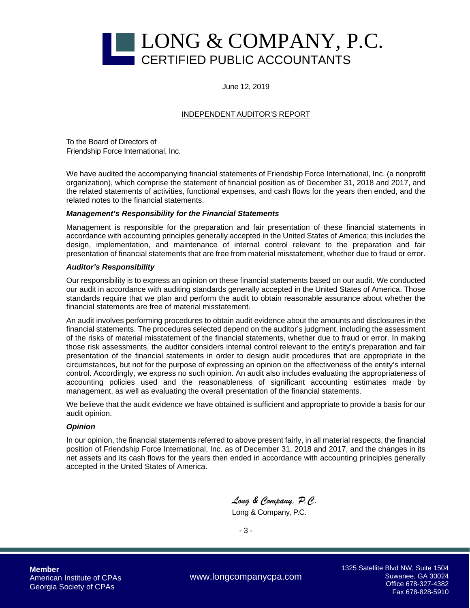

June 12, 2019

## INDEPENDENT AUDITOR'S REPORT

To the Board of Directors of Friendship Force International, Inc.

We have audited the accompanying financial statements of Friendship Force International, Inc. (a nonprofit organization), which comprise the statement of financial position as of December 31, 2018 and 2017, and the related statements of activities, functional expenses, and cash flows for the years then ended, and the related notes to the financial statements.

#### *Management's Responsibility for the Financial Statements*

Management is responsible for the preparation and fair presentation of these financial statements in accordance with accounting principles generally accepted in the United States of America; this includes the design, implementation, and maintenance of internal control relevant to the preparation and fair presentation of financial statements that are free from material misstatement, whether due to fraud or error.

#### *Auditor's Responsibility*

Our responsibility is to express an opinion on these financial statements based on our audit. We conducted our audit in accordance with auditing standards generally accepted in the United States of America. Those standards require that we plan and perform the audit to obtain reasonable assurance about whether the financial statements are free of material misstatement.

An audit involves performing procedures to obtain audit evidence about the amounts and disclosures in the financial statements. The procedures selected depend on the auditor's judgment, including the assessment of the risks of material misstatement of the financial statements, whether due to fraud or error. In making those risk assessments, the auditor considers internal control relevant to the entity's preparation and fair presentation of the financial statements in order to design audit procedures that are appropriate in the circumstances, but not for the purpose of expressing an opinion on the effectiveness of the entity's internal control. Accordingly, we express no such opinion. An audit also includes evaluating the appropriateness of accounting policies used and the reasonableness of significant accounting estimates made by management, as well as evaluating the overall presentation of the financial statements.

We believe that the audit evidence we have obtained is sufficient and appropriate to provide a basis for our audit opinion.

#### *Opinion*

In our opinion, the financial statements referred to above present fairly, in all material respects, the financial position of Friendship Force International, Inc. as of December 31, 2018 and 2017, and the changes in its net assets and its cash flows for the years then ended in accordance with accounting principles generally accepted in the United States of America.

> *Long & Company, P.C.*  Long & Company, P.C.

- 3 -

**Member**  American Institute of CPAs Georgia Society of CPAs

www.longcompanycpa.com

1325 Satellite Blvd NW, Suite 1504 Suwanee, GA 30024 Office 678-327-4382 Fax 678-828-5910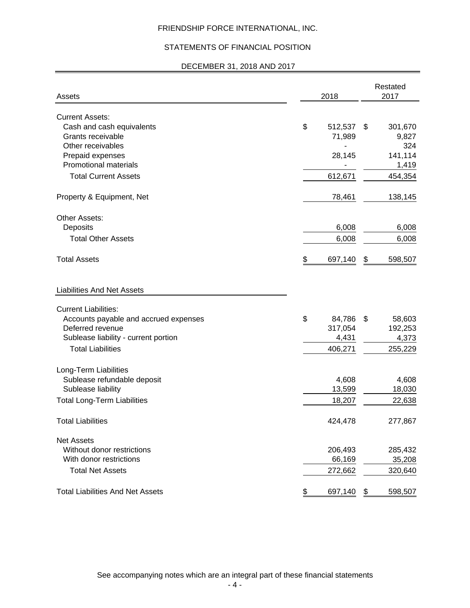## STATEMENTS OF FINANCIAL POSITION

## DECEMBER 31, 2018 AND 2017

| Assets                                  |    | 2018    | Restated<br>2017 |         |  |
|-----------------------------------------|----|---------|------------------|---------|--|
| <b>Current Assets:</b>                  |    |         |                  |         |  |
| Cash and cash equivalents               | \$ | 512,537 | \$               | 301,670 |  |
| Grants receivable                       |    | 71,989  |                  | 9,827   |  |
| Other receivables                       |    |         |                  | 324     |  |
| Prepaid expenses                        |    | 28,145  |                  | 141,114 |  |
| Promotional materials                   |    |         |                  | 1,419   |  |
| <b>Total Current Assets</b>             |    | 612,671 |                  | 454,354 |  |
| Property & Equipment, Net               |    | 78,461  |                  | 138,145 |  |
| <b>Other Assets:</b>                    |    |         |                  |         |  |
| Deposits                                |    | 6,008   |                  | 6,008   |  |
| <b>Total Other Assets</b>               |    | 6,008   |                  | 6,008   |  |
| <b>Total Assets</b>                     | \$ | 697,140 | \$               | 598,507 |  |
| <b>Liabilities And Net Assets</b>       |    |         |                  |         |  |
| <b>Current Liabilities:</b>             |    |         |                  |         |  |
| Accounts payable and accrued expenses   | \$ | 84,786  | \$               | 58,603  |  |
| Deferred revenue                        |    | 317,054 |                  | 192,253 |  |
| Sublease liability - current portion    |    | 4,431   |                  | 4,373   |  |
| <b>Total Liabilities</b>                |    | 406,271 |                  | 255,229 |  |
| Long-Term Liabilities                   |    |         |                  |         |  |
| Sublease refundable deposit             |    | 4,608   |                  | 4,608   |  |
| Sublease liability                      |    | 13,599  |                  | 18,030  |  |
| <b>Total Long-Term Liabilities</b>      |    | 18,207  |                  | 22,638  |  |
| <b>Total Liabilities</b>                |    | 424,478 |                  | 277,867 |  |
| <b>Net Assets</b>                       |    |         |                  |         |  |
| Without donor restrictions              |    | 206,493 |                  | 285,432 |  |
| With donor restrictions                 |    | 66,169  |                  | 35,208  |  |
| <b>Total Net Assets</b>                 |    | 272,662 |                  | 320,640 |  |
| <b>Total Liabilities And Net Assets</b> | \$ | 697,140 | \$               | 598,507 |  |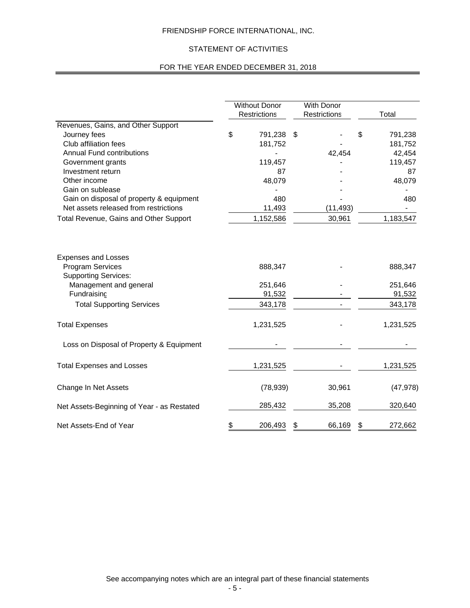## STATEMENT OF ACTIVITIES

## FOR THE YEAR ENDED DECEMBER 31, 2018

|                                                        | <b>Without Donor</b><br>Restrictions | <b>With Donor</b><br>Restrictions |    | Total     |
|--------------------------------------------------------|--------------------------------------|-----------------------------------|----|-----------|
| Revenues, Gains, and Other Support                     |                                      |                                   |    |           |
| Journey fees                                           | \$<br>791,238                        | \$                                | S  | 791,238   |
| Club affiliation fees                                  | 181,752                              |                                   |    | 181,752   |
| <b>Annual Fund contributions</b>                       |                                      | 42,454                            |    | 42,454    |
| Government grants                                      | 119,457                              |                                   |    | 119,457   |
| Investment return                                      | 87                                   |                                   |    | 87        |
| Other income                                           | 48,079                               |                                   |    | 48,079    |
| Gain on sublease                                       |                                      |                                   |    |           |
| Gain on disposal of property & equipment               | 480                                  |                                   |    | 480       |
| Net assets released from restrictions                  | 11,493                               | (11, 493)                         |    |           |
| Total Revenue, Gains and Other Support                 | 1,152,586                            | 30,961                            |    | 1,183,547 |
| <b>Expenses and Losses</b>                             |                                      |                                   |    |           |
| <b>Program Services</b><br><b>Supporting Services:</b> | 888,347                              |                                   |    | 888,347   |
| Management and general                                 | 251,646                              |                                   |    | 251,646   |
| Fundraising                                            | 91,532                               |                                   |    | 91,532    |
| <b>Total Supporting Services</b>                       | 343,178                              |                                   |    | 343,178   |
| <b>Total Expenses</b>                                  | 1,231,525                            |                                   |    | 1,231,525 |
| Loss on Disposal of Property & Equipment               |                                      |                                   |    |           |
| <b>Total Expenses and Losses</b>                       | 1,231,525                            |                                   |    | 1,231,525 |
| Change In Net Assets                                   | (78, 939)                            | 30,961                            |    | (47, 978) |
| Net Assets-Beginning of Year - as Restated             | 285,432                              | 35,208                            |    | 320,640   |
| Net Assets-End of Year                                 | \$<br>206,493                        | \$<br>66,169                      | \$ | 272,662   |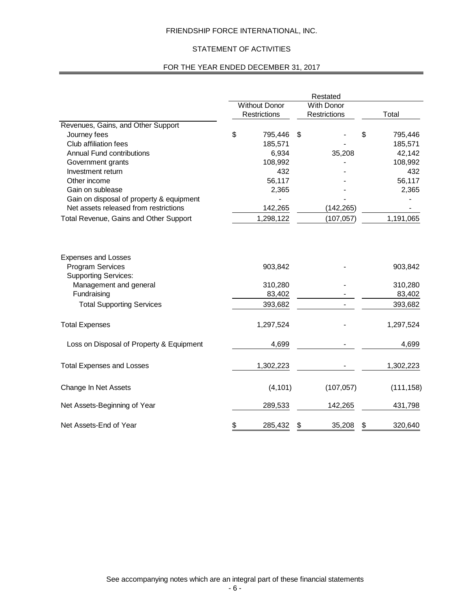## STATEMENT OF ACTIVITIES

## FOR THE YEAR ENDED DECEMBER 31, 2017

|                                                       | Restated |                                      |    |                                   |    |            |
|-------------------------------------------------------|----------|--------------------------------------|----|-----------------------------------|----|------------|
|                                                       |          | <b>Without Donor</b><br>Restrictions |    | <b>With Donor</b><br>Restrictions |    | Total      |
| Revenues, Gains, and Other Support                    |          |                                      |    |                                   |    |            |
| Journey fees                                          | \$       | 795,446                              | \$ |                                   | \$ | 795,446    |
| Club affiliation fees                                 |          | 185,571                              |    |                                   |    | 185,571    |
| <b>Annual Fund contributions</b>                      |          | 6,934                                |    | 35,208                            |    | 42,142     |
| Government grants                                     |          | 108,992                              |    |                                   |    | 108,992    |
| Investment return                                     |          | 432                                  |    |                                   |    | 432        |
| Other income                                          |          | 56,117                               |    |                                   |    | 56,117     |
| Gain on sublease                                      |          | 2,365                                |    |                                   |    | 2,365      |
| Gain on disposal of property & equipment              |          |                                      |    |                                   |    |            |
| Net assets released from restrictions                 |          | 142,265                              |    | (142, 265)                        |    |            |
| Total Revenue, Gains and Other Support                |          | 1,298,122                            |    | (107, 057)                        |    | 1,191,065  |
|                                                       |          |                                      |    |                                   |    |            |
| <b>Expenses and Losses</b><br><b>Program Services</b> |          | 903,842                              |    |                                   |    | 903,842    |
| <b>Supporting Services:</b>                           |          |                                      |    |                                   |    |            |
| Management and general                                |          | 310,280                              |    |                                   |    | 310,280    |
| Fundraising                                           |          | 83,402                               |    |                                   |    | 83,402     |
|                                                       |          |                                      |    |                                   |    |            |
| <b>Total Supporting Services</b>                      |          | 393,682                              |    |                                   |    | 393,682    |
| <b>Total Expenses</b>                                 |          | 1,297,524                            |    |                                   |    | 1,297,524  |
| Loss on Disposal of Property & Equipment              |          | 4,699                                |    |                                   |    | 4,699      |
| <b>Total Expenses and Losses</b>                      |          | 1,302,223                            |    |                                   |    | 1,302,223  |
| Change In Net Assets                                  |          | (4, 101)                             |    | (107, 057)                        |    | (111, 158) |
|                                                       |          |                                      |    |                                   |    |            |
| Net Assets-Beginning of Year                          |          | 289,533                              |    | 142,265                           |    | 431,798    |
| Net Assets-End of Year                                | \$       | 285,432                              | \$ | 35,208                            | \$ | 320,640    |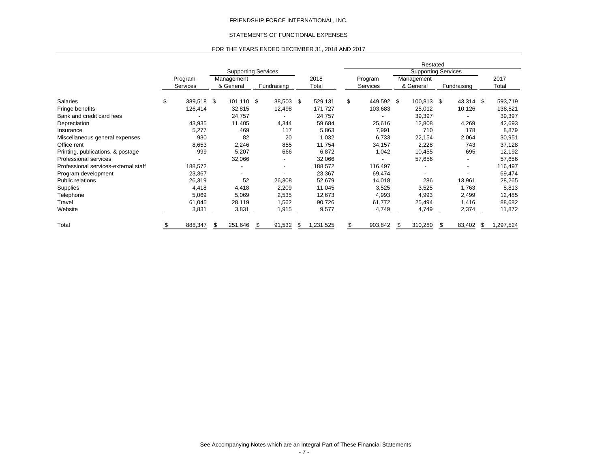#### STATEMENTS OF FUNCTIONAL EXPENSES

#### FOR THE YEARS ENDED DECEMBER 31, 2018 AND 2017

|                                      |                            |          |      |            |              |   |                            |                 |         |           | Restated   |             |           |    |          |
|--------------------------------------|----------------------------|----------|------|------------|--------------|---|----------------------------|-----------------|---------|-----------|------------|-------------|-----------|----|----------|
|                                      | <b>Supporting Services</b> |          |      |            |              |   | <b>Supporting Services</b> |                 |         |           |            |             |           |    |          |
|                                      |                            | Program  |      | Management |              |   | 2018                       |                 | Program |           | Management |             |           |    | 2017     |
|                                      |                            | Services |      | & General  | Fundraising  |   | Total                      | <b>Services</b> |         | & General |            | Fundraising |           |    | Total    |
| <b>Salaries</b>                      | \$                         | 389,518  | - \$ | 101,110 \$ | 38,503       | S | 529,131                    | \$              | 449,592 | S.        | 100,813 \$ |             | 43,314 \$ |    | 593,719  |
| Fringe benefits                      |                            | 126,414  |      | 32,815     | 12,498       |   | 171,727                    |                 | 103,683 |           | 25,012     |             | 10,126    |    | 138,821  |
| Bank and credit card fees            |                            |          |      | 24,757     |              |   | 24,757                     |                 |         |           | 39,397     |             |           |    | 39,397   |
| Depreciation                         |                            | 43,935   |      | 11,405     | 4,344        |   | 59,684                     |                 | 25,616  |           | 12,808     |             | 4,269     |    | 42,693   |
| Insurance                            |                            | 5,277    |      | 469        | 117          |   | 5,863                      |                 | 7,991   |           | 710        |             | 178       |    | 8,879    |
| Miscellaneous general expenses       |                            | 930      |      | 82         | 20           |   | 1,032                      |                 | 6,733   |           | 22,154     |             | 2,064     |    | 30,951   |
| Office rent                          |                            | 8,653    |      | 2,246      | 855          |   | 11,754                     |                 | 34,157  |           | 2,228      |             | 743       |    | 37,128   |
| Printing, publications, & postage    |                            | 999      |      | 5,207      | 666          |   | 6,872                      |                 | 1,042   |           | 10,455     |             | 695       |    | 12,192   |
| Professional services                |                            |          |      | 32,066     |              |   | 32,066                     |                 |         |           | 57,656     |             | $\sim$    |    | 57,656   |
| Professional services-external staff |                            | 188,572  |      |            | ٠            |   | 188,572                    |                 | 116,497 |           |            |             | $\sim$    |    | 116,497  |
| Program development                  |                            | 23,367   |      |            |              |   | 23,367                     |                 | 69,474  |           |            |             |           |    | 69,474   |
| <b>Public relations</b>              |                            | 26,319   |      | 52         | 26,308       |   | 52,679                     |                 | 14,018  |           | 286        |             | 13,961    |    | 28,265   |
| Supplies                             |                            | 4,418    |      | 4,418      | 2,209        |   | 11,045                     |                 | 3,525   |           | 3,525      |             | 1,763     |    | 8,813    |
| Telephone                            |                            | 5,069    |      | 5,069      | 2,535        |   | 12,673                     |                 | 4,993   |           | 4,993      |             | 2,499     |    | 12,485   |
| Travel                               |                            | 61,045   |      | 28,119     | 1,562        |   | 90,726                     |                 | 61,772  |           | 25,494     |             | 1,416     |    | 88,682   |
| Website                              |                            | 3,831    |      | 3,831      | 1,915        |   | 9,577                      |                 | 4,749   |           | 4,749      |             | 2,374     |    | 11,872   |
| Total                                |                            | 888,347  | \$.  | 251,646    | \$<br>91,532 | S | 1,231,525                  |                 | 903,842 | \$        | 310,280    | S           | 83,402    | \$ | ,297,524 |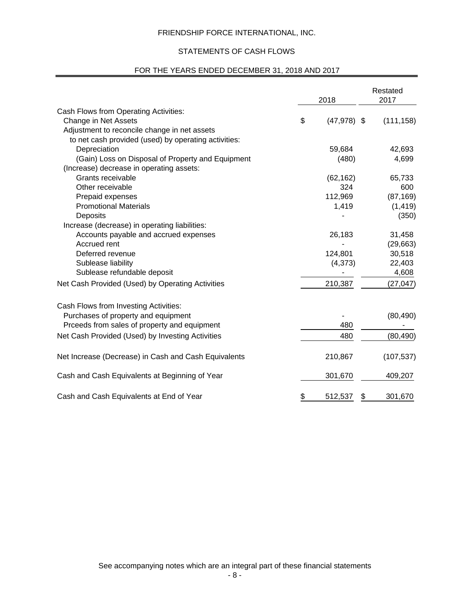## STATEMENTS OF CASH FLOWS

# FOR THE YEARS ENDED DECEMBER 31, 2018 AND 2017

|                                                      | 2018                | Restated<br>2017 |
|------------------------------------------------------|---------------------|------------------|
| Cash Flows from Operating Activities:                |                     |                  |
| Change in Net Assets                                 | \$<br>$(47,978)$ \$ | (111, 158)       |
| Adjustment to reconcile change in net assets         |                     |                  |
| to net cash provided (used) by operating activities: |                     |                  |
| Depreciation                                         | 59,684              | 42,693           |
| (Gain) Loss on Disposal of Property and Equipment    | (480)               | 4,699            |
| (Increase) decrease in operating assets:             |                     |                  |
| Grants receivable                                    | (62, 162)           | 65,733           |
| Other receivable                                     | 324                 | 600              |
| Prepaid expenses                                     | 112,969             | (87, 169)        |
| <b>Promotional Materials</b>                         | 1,419               | (1, 419)         |
| Deposits                                             |                     | (350)            |
| Increase (decrease) in operating liabilities:        |                     |                  |
| Accounts payable and accrued expenses                | 26,183              | 31,458           |
| Accrued rent                                         |                     | (29, 663)        |
| Deferred revenue                                     | 124,801             | 30,518           |
| Sublease liability                                   | (4,373)             | 22,403           |
| Sublease refundable deposit                          |                     | 4,608            |
| Net Cash Provided (Used) by Operating Activities     | 210,387             | (27, 047)        |
| Cash Flows from Investing Activities:                |                     |                  |
| Purchases of property and equipment                  |                     | (80, 490)        |
| Prceeds from sales of property and equipment         | 480                 |                  |
| Net Cash Provided (Used) by Investing Activities     | 480                 | (80, 490)        |
| Net Increase (Decrease) in Cash and Cash Equivalents | 210,867             | (107, 537)       |
| Cash and Cash Equivalents at Beginning of Year       | 301,670             | 409,207          |
| Cash and Cash Equivalents at End of Year             | \$<br>512,537       | \$<br>301,670    |

See accompanying notes which are an integral part of these financial statements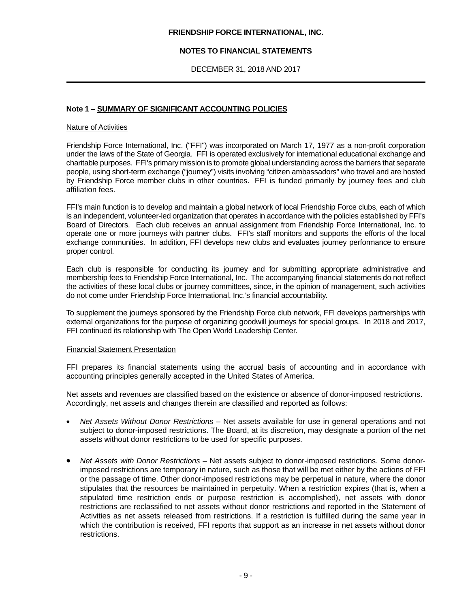## **NOTES TO FINANCIAL STATEMENTS**

DECEMBER 31, 2018 AND 2017

### **Note 1 – SUMMARY OF SIGNIFICANT ACCOUNTING POLICIES**

#### Nature of Activities

 $\overline{a}$ 

Friendship Force International, Inc. ("FFI") was incorporated on March 17, 1977 as a non-profit corporation under the laws of the State of Georgia. FFI is operated exclusively for international educational exchange and charitable purposes. FFI's primary mission is to promote global understanding across the barriers that separate people, using short-term exchange ("journey") visits involving "citizen ambassadors" who travel and are hosted by Friendship Force member clubs in other countries. FFI is funded primarily by journey fees and club affiliation fees.

FFI's main function is to develop and maintain a global network of local Friendship Force clubs, each of which is an independent, volunteer-led organization that operates in accordance with the policies established by FFI's Board of Directors. Each club receives an annual assignment from Friendship Force International, Inc. to operate one or more journeys with partner clubs. FFI's staff monitors and supports the efforts of the local exchange communities. In addition, FFI develops new clubs and evaluates journey performance to ensure proper control.

Each club is responsible for conducting its journey and for submitting appropriate administrative and membership fees to Friendship Force International, Inc. The accompanying financial statements do not reflect the activities of these local clubs or journey committees, since, in the opinion of management, such activities do not come under Friendship Force International, Inc.'s financial accountability.

To supplement the journeys sponsored by the Friendship Force club network, FFI develops partnerships with external organizations for the purpose of organizing goodwill journeys for special groups. In 2018 and 2017, FFI continued its relationship with The Open World Leadership Center.

#### Financial Statement Presentation

FFI prepares its financial statements using the accrual basis of accounting and in accordance with accounting principles generally accepted in the United States of America.

Net assets and revenues are classified based on the existence or absence of donor-imposed restrictions. Accordingly, net assets and changes therein are classified and reported as follows:

- *Net Assets Without Donor Restrictions*  Net assets available for use in general operations and not subject to donor-imposed restrictions. The Board, at its discretion, may designate a portion of the net assets without donor restrictions to be used for specific purposes.
- *Net Assets with Donor Restrictions*  Net assets subject to donor-imposed restrictions. Some donorimposed restrictions are temporary in nature, such as those that will be met either by the actions of FFI or the passage of time. Other donor-imposed restrictions may be perpetual in nature, where the donor stipulates that the resources be maintained in perpetuity. When a restriction expires (that is, when a stipulated time restriction ends or purpose restriction is accomplished), net assets with donor restrictions are reclassified to net assets without donor restrictions and reported in the Statement of Activities as net assets released from restrictions. If a restriction is fulfilled during the same year in which the contribution is received, FFI reports that support as an increase in net assets without donor restrictions.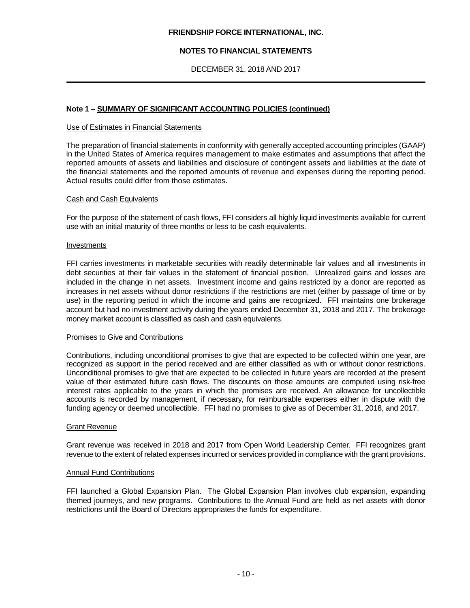## **NOTES TO FINANCIAL STATEMENTS**

DECEMBER 31, 2018 AND 2017

## **Note 1 – SUMMARY OF SIGNIFICANT ACCOUNTING POLICIES (continued)**

#### Use of Estimates in Financial Statements

The preparation of financial statements in conformity with generally accepted accounting principles (GAAP) in the United States of America requires management to make estimates and assumptions that affect the reported amounts of assets and liabilities and disclosure of contingent assets and liabilities at the date of the financial statements and the reported amounts of revenue and expenses during the reporting period. Actual results could differ from those estimates.

#### Cash and Cash Equivalents

For the purpose of the statement of cash flows, FFI considers all highly liquid investments available for current use with an initial maturity of three months or less to be cash equivalents.

#### Investments

 $\overline{a}$ 

FFI carries investments in marketable securities with readily determinable fair values and all investments in debt securities at their fair values in the statement of financial position. Unrealized gains and losses are included in the change in net assets. Investment income and gains restricted by a donor are reported as increases in net assets without donor restrictions if the restrictions are met (either by passage of time or by use) in the reporting period in which the income and gains are recognized. FFI maintains one brokerage account but had no investment activity during the years ended December 31, 2018 and 2017. The brokerage money market account is classified as cash and cash equivalents.

#### Promises to Give and Contributions

Contributions, including unconditional promises to give that are expected to be collected within one year, are recognized as support in the period received and are either classified as with or without donor restrictions. Unconditional promises to give that are expected to be collected in future years are recorded at the present value of their estimated future cash flows. The discounts on those amounts are computed using risk-free interest rates applicable to the years in which the promises are received. An allowance for uncollectible accounts is recorded by management, if necessary, for reimbursable expenses either in dispute with the funding agency or deemed uncollectible. FFI had no promises to give as of December 31, 2018, and 2017.

#### **Grant Revenue**

Grant revenue was received in 2018 and 2017 from Open World Leadership Center. FFI recognizes grant revenue to the extent of related expenses incurred or services provided in compliance with the grant provisions.

## Annual Fund Contributions

FFI launched a Global Expansion Plan. The Global Expansion Plan involves club expansion, expanding themed journeys, and new programs. Contributions to the Annual Fund are held as net assets with donor restrictions until the Board of Directors appropriates the funds for expenditure.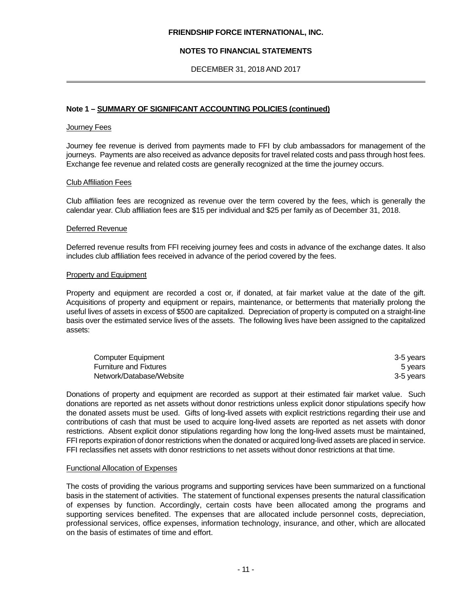## **NOTES TO FINANCIAL STATEMENTS**

DECEMBER 31, 2018 AND 2017

### **Note 1 – SUMMARY OF SIGNIFICANT ACCOUNTING POLICIES (continued)**

#### Journey Fees

 $\overline{a}$ 

Journey fee revenue is derived from payments made to FFI by club ambassadors for management of the journeys. Payments are also received as advance deposits for travel related costs and pass through host fees. Exchange fee revenue and related costs are generally recognized at the time the journey occurs.

#### Club Affiliation Fees

Club affiliation fees are recognized as revenue over the term covered by the fees, which is generally the calendar year. Club affiliation fees are \$15 per individual and \$25 per family as of December 31, 2018.

#### Deferred Revenue

Deferred revenue results from FFI receiving journey fees and costs in advance of the exchange dates. It also includes club affiliation fees received in advance of the period covered by the fees.

#### **Property and Equipment**

Property and equipment are recorded a cost or, if donated, at fair market value at the date of the gift. Acquisitions of property and equipment or repairs, maintenance, or betterments that materially prolong the useful lives of assets in excess of \$500 are capitalized. Depreciation of property is computed on a straight-line basis over the estimated service lives of the assets. The following lives have been assigned to the capitalized assets:

| Computer Equipment            | 3-5 years |
|-------------------------------|-----------|
| <b>Furniture and Fixtures</b> | 5 years   |
| Network/Database/Website      | 3-5 vears |

Donations of property and equipment are recorded as support at their estimated fair market value. Such donations are reported as net assets without donor restrictions unless explicit donor stipulations specify how the donated assets must be used. Gifts of long-lived assets with explicit restrictions regarding their use and contributions of cash that must be used to acquire long-lived assets are reported as net assets with donor restrictions. Absent explicit donor stipulations regarding how long the long-lived assets must be maintained, FFI reports expiration of donor restrictions when the donated or acquired long-lived assets are placed in service. FFI reclassifies net assets with donor restrictions to net assets without donor restrictions at that time.

#### Functional Allocation of Expenses

The costs of providing the various programs and supporting services have been summarized on a functional basis in the statement of activities. The statement of functional expenses presents the natural classification of expenses by function. Accordingly, certain costs have been allocated among the programs and supporting services benefited. The expenses that are allocated include personnel costs, depreciation, professional services, office expenses, information technology, insurance, and other, which are allocated on the basis of estimates of time and effort.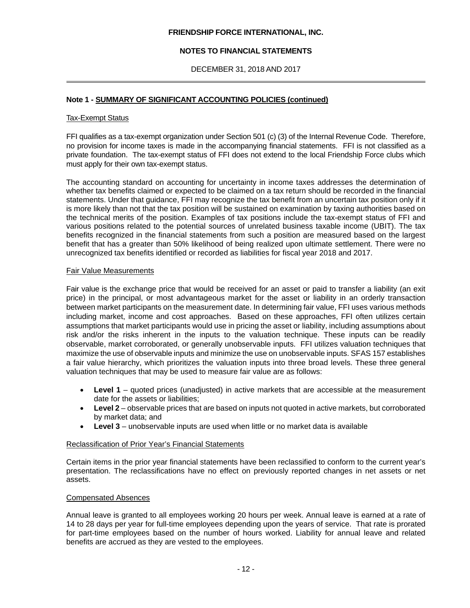## **NOTES TO FINANCIAL STATEMENTS**

DECEMBER 31, 2018 AND 2017

### **Note 1 - SUMMARY OF SIGNIFICANT ACCOUNTING POLICIES (continued)**

#### Tax-Exempt Status

 $\overline{a}$ 

FFI qualifies as a tax-exempt organization under Section 501 (c) (3) of the Internal Revenue Code. Therefore, no provision for income taxes is made in the accompanying financial statements. FFI is not classified as a private foundation. The tax-exempt status of FFI does not extend to the local Friendship Force clubs which must apply for their own tax-exempt status.

The accounting standard on accounting for uncertainty in income taxes addresses the determination of whether tax benefits claimed or expected to be claimed on a tax return should be recorded in the financial statements. Under that guidance, FFI may recognize the tax benefit from an uncertain tax position only if it is more likely than not that the tax position will be sustained on examination by taxing authorities based on the technical merits of the position. Examples of tax positions include the tax-exempt status of FFI and various positions related to the potential sources of unrelated business taxable income (UBIT). The tax benefits recognized in the financial statements from such a position are measured based on the largest benefit that has a greater than 50% likelihood of being realized upon ultimate settlement. There were no unrecognized tax benefits identified or recorded as liabilities for fiscal year 2018 and 2017.

#### Fair Value Measurements

Fair value is the exchange price that would be received for an asset or paid to transfer a liability (an exit price) in the principal, or most advantageous market for the asset or liability in an orderly transaction between market participants on the measurement date. In determining fair value, FFI uses various methods including market, income and cost approaches. Based on these approaches, FFI often utilizes certain assumptions that market participants would use in pricing the asset or liability, including assumptions about risk and/or the risks inherent in the inputs to the valuation technique. These inputs can be readily observable, market corroborated, or generally unobservable inputs. FFI utilizes valuation techniques that maximize the use of observable inputs and minimize the use on unobservable inputs. SFAS 157 establishes a fair value hierarchy, which prioritizes the valuation inputs into three broad levels. These three general valuation techniques that may be used to measure fair value are as follows:

- Level 1 quoted prices (unadjusted) in active markets that are accessible at the measurement date for the assets or liabilities;
- **Level 2**  observable prices that are based on inputs not quoted in active markets, but corroborated by market data; and
- **Level 3** unobservable inputs are used when little or no market data is available

#### Reclassification of Prior Year's Financial Statements

Certain items in the prior year financial statements have been reclassified to conform to the current year's presentation. The reclassifications have no effect on previously reported changes in net assets or net assets.

#### Compensated Absences

Annual leave is granted to all employees working 20 hours per week. Annual leave is earned at a rate of 14 to 28 days per year for full-time employees depending upon the years of service. That rate is prorated for part-time employees based on the number of hours worked. Liability for annual leave and related benefits are accrued as they are vested to the employees.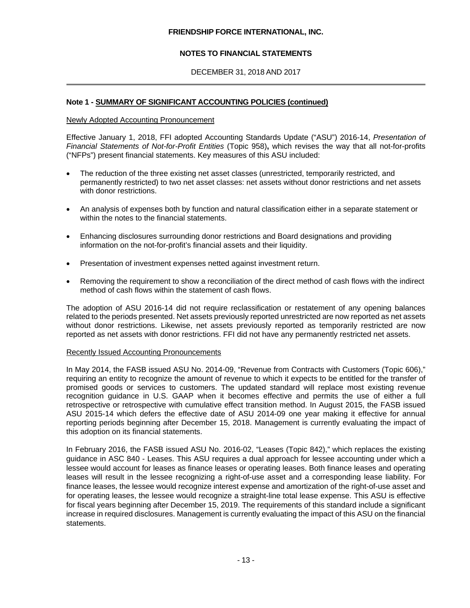## **NOTES TO FINANCIAL STATEMENTS**

### DECEMBER 31, 2018 AND 2017

### **Note 1 - SUMMARY OF SIGNIFICANT ACCOUNTING POLICIES (continued)**

#### Newly Adopted Accounting Pronouncement

 $\overline{a}$ 

Effective January 1, 2018, FFI adopted Accounting Standards Update ("ASU") 2016-14, *Presentation of Financial Statements of Not-for-Profit Entities* (Topic 958)**,** which revises the way that all not-for-profits ("NFPs") present financial statements. Key measures of this ASU included:

- The reduction of the three existing net asset classes (unrestricted, temporarily restricted, and permanently restricted) to two net asset classes: net assets without donor restrictions and net assets with donor restrictions.
- An analysis of expenses both by function and natural classification either in a separate statement or within the notes to the financial statements.
- Enhancing disclosures surrounding donor restrictions and Board designations and providing information on the not-for-profit's financial assets and their liquidity.
- Presentation of investment expenses netted against investment return.
- Removing the requirement to show a reconciliation of the direct method of cash flows with the indirect method of cash flows within the statement of cash flows.

The adoption of ASU 2016-14 did not require reclassification or restatement of any opening balances related to the periods presented. Net assets previously reported unrestricted are now reported as net assets without donor restrictions. Likewise, net assets previously reported as temporarily restricted are now reported as net assets with donor restrictions. FFI did not have any permanently restricted net assets.

#### Recently Issued Accounting Pronouncements

In May 2014, the FASB issued ASU No. 2014-09, "Revenue from Contracts with Customers (Topic 606)," requiring an entity to recognize the amount of revenue to which it expects to be entitled for the transfer of promised goods or services to customers. The updated standard will replace most existing revenue recognition guidance in U.S. GAAP when it becomes effective and permits the use of either a full retrospective or retrospective with cumulative effect transition method. In August 2015, the FASB issued ASU 2015-14 which defers the effective date of ASU 2014-09 one year making it effective for annual reporting periods beginning after December 15, 2018. Management is currently evaluating the impact of this adoption on its financial statements.

In February 2016, the FASB issued ASU No. 2016-02, "Leases (Topic 842)," which replaces the existing guidance in ASC 840 - Leases. This ASU requires a dual approach for lessee accounting under which a lessee would account for leases as finance leases or operating leases. Both finance leases and operating leases will result in the lessee recognizing a right-of-use asset and a corresponding lease liability. For finance leases, the lessee would recognize interest expense and amortization of the right-of-use asset and for operating leases, the lessee would recognize a straight-line total lease expense. This ASU is effective for fiscal years beginning after December 15, 2019. The requirements of this standard include a significant increase in required disclosures. Management is currently evaluating the impact of this ASU on the financial statements.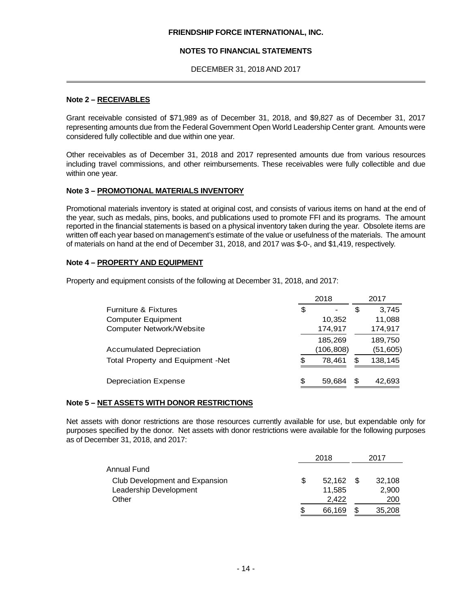## **NOTES TO FINANCIAL STATEMENTS**

DECEMBER 31, 2018 AND 2017

#### **Note 2 – RECEIVABLES**

 $\overline{a}$ 

Grant receivable consisted of \$71,989 as of December 31, 2018, and \$9,827 as of December 31, 2017 representing amounts due from the Federal Government Open World Leadership Center grant. Amounts were considered fully collectible and due within one year.

Other receivables as of December 31, 2018 and 2017 represented amounts due from various resources including travel commissions, and other reimbursements. These receivables were fully collectible and due within one year.

## **Note 3 – PROMOTIONAL MATERIALS INVENTORY**

Promotional materials inventory is stated at original cost, and consists of various items on hand at the end of the year, such as medals, pins, books, and publications used to promote FFI and its programs. The amount reported in the financial statements is based on a physical inventory taken during the year. Obsolete items are written off each year based on management's estimate of the value or usefulness of the materials. The amount of materials on hand at the end of December 31, 2018, and 2017 was \$-0-, and \$1,419, respectively.

## **Note 4 – PROPERTY AND EQUIPMENT**

Property and equipment consists of the following at December 31, 2018, and 2017:

|                                          |    | 2018       |   | 2017     |
|------------------------------------------|----|------------|---|----------|
| <b>Furniture &amp; Fixtures</b>          | \$ |            | S | 3,745    |
| <b>Computer Equipment</b>                |    | 10,352     |   | 11,088   |
| <b>Computer Network/Website</b>          |    | 174,917    |   | 174,917  |
|                                          |    | 185,269    |   | 189,750  |
| <b>Accumulated Depreciation</b>          |    | (106, 808) |   | (51,605) |
| <b>Total Property and Equipment -Net</b> | £. | 78.461     |   | 138,145  |
|                                          |    |            |   |          |
| <b>Depreciation Expense</b>              | \$ | 59.684     | S | 42,693   |

#### **Note 5 – NET ASSETS WITH DONOR RESTRICTIONS**

Net assets with donor restrictions are those resources currently available for use, but expendable only for purposes specified by the donor. Net assets with donor restrictions were available for the following purposes as of December 31, 2018, and 2017:

|                                |     | 2018   |   | 2017   |
|--------------------------------|-----|--------|---|--------|
| Annual Fund                    |     |        |   |        |
| Club Development and Expansion | \$. | 52.162 | S | 32.108 |
| Leadership Development         |     | 11.585 |   | 2.900  |
| Other                          |     | 2.422  |   | 200    |
|                                |     | 66,169 |   | 35,208 |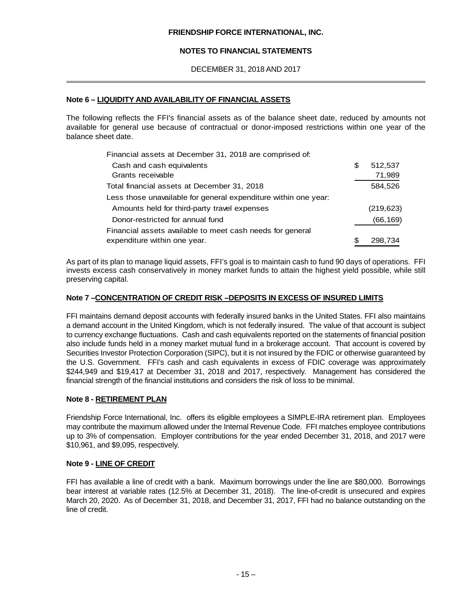## **NOTES TO FINANCIAL STATEMENTS**

DECEMBER 31, 2018 AND 2017

## **Note 6 – LIQUIDITY AND AVAILABILITY OF FINANCIAL ASSETS**

The following reflects the FFI's financial assets as of the balance sheet date, reduced by amounts not available for general use because of contractual or donor-imposed restrictions within one year of the balance sheet date.

| Financial assets at December 31, 2018 are comprised of:         |   |            |
|-----------------------------------------------------------------|---|------------|
| Cash and cash equivalents                                       | S | 512,537    |
| Grants receivable                                               |   | 71,989     |
| Total financial assets at December 31, 2018                     |   | 584,526    |
| Less those unavailable for general expenditure within one year: |   |            |
| Amounts held for third-party travel expenses                    |   | (219, 623) |
| Donor-restricted for annual fund                                |   | (66, 169)  |
| Financial assets available to meet cash needs for general       |   |            |
| expenditure within one year.                                    |   | 298.734    |

As part of its plan to manage liquid assets, FFI's goal is to maintain cash to fund 90 days of operations. FFI invests excess cash conservatively in money market funds to attain the highest yield possible, while still preserving capital.

## **Note 7 –CONCENTRATION OF CREDIT RISK –DEPOSITS IN EXCESS OF INSURED LIMITS**

FFI maintains demand deposit accounts with federally insured banks in the United States. FFI also maintains a demand account in the United Kingdom, which is not federally insured. The value of that account is subject to currency exchange fluctuations. Cash and cash equivalents reported on the statements of financial position also include funds held in a money market mutual fund in a brokerage account. That account is covered by Securities Investor Protection Corporation (SIPC), but it is not insured by the FDIC or otherwise guaranteed by the U.S. Government. FFI's cash and cash equivalents in excess of FDIC coverage was approximately \$244,949 and \$19,417 at December 31, 2018 and 2017, respectively. Management has considered the financial strength of the financial institutions and considers the risk of loss to be minimal.

## **Note 8 - RETIREMENT PLAN**

 $\overline{a}$ 

Friendship Force International, Inc. offers its eligible employees a SIMPLE-IRA retirement plan. Employees may contribute the maximum allowed under the Internal Revenue Code. FFI matches employee contributions up to 3% of compensation. Employer contributions for the year ended December 31, 2018, and 2017 were \$10,961, and \$9,095, respectively.

#### **Note 9 - LINE OF CREDIT**

FFI has available a line of credit with a bank. Maximum borrowings under the line are \$80,000. Borrowings bear interest at variable rates (12.5% at December 31, 2018). The line-of-credit is unsecured and expires March 20, 2020. As of December 31, 2018, and December 31, 2017, FFI had no balance outstanding on the line of credit.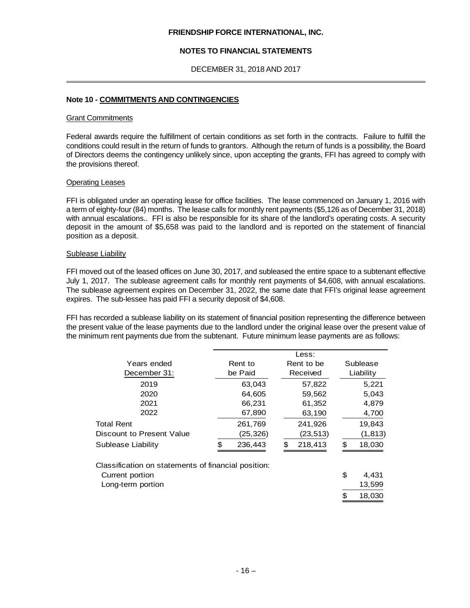## **NOTES TO FINANCIAL STATEMENTS**

DECEMBER 31, 2018 AND 2017

### **Note 10 - COMMITMENTS AND CONTINGENCIES**

#### Grant Commitments

 $\overline{a}$ 

Federal awards require the fulfillment of certain conditions as set forth in the contracts. Failure to fulfill the conditions could result in the return of funds to grantors. Although the return of funds is a possibility, the Board of Directors deems the contingency unlikely since, upon accepting the grants, FFI has agreed to comply with the provisions thereof.

#### Operating Leases

FFI is obligated under an operating lease for office facilities. The lease commenced on January 1, 2016 with a term of eighty-four (84) months. The lease calls for monthly rent payments (\$5,126 as of December 31, 2018) with annual escalations.. FFI is also be responsible for its share of the landlord's operating costs. A security deposit in the amount of \$5,658 was paid to the landlord and is reported on the statement of financial position as a deposit.

#### Sublease Liability

FFI moved out of the leased offices on June 30, 2017, and subleased the entire space to a subtenant effective July 1, 2017. The sublease agreement calls for monthly rent payments of \$4,608, with annual escalations. The sublease agreement expires on December 31, 2022, the same date that FFI's original lease agreement expires. The sub-lessee has paid FFI a security deposit of \$4,608.

FFI has recorded a sublease liability on its statement of financial position representing the difference between the present value of the lease payments due to the landlord under the original lease over the present value of the minimum rent payments due from the subtenant. Future minimum lease payments are as follows:

|                                                     | Less:          |              |
|-----------------------------------------------------|----------------|--------------|
| Rent to                                             | Rent to be     | Sublease     |
| be Paid                                             | Received       | Liability    |
| 63,043                                              | 57,822         | 5,221        |
| 64,605                                              | 59,562         | 5,043        |
| 66,231                                              | 61,352         | 4,879        |
| 67,890                                              | 63,190         | 4,700        |
| 261,769                                             | 241,926        | 19,843       |
| (25, 326)                                           | (23, 513)      | (1, 813)     |
| \$.<br>236,443                                      | 218,413<br>\$. | \$<br>18,030 |
| Classification on statements of financial position: |                |              |
|                                                     |                | \$<br>4,431  |
|                                                     |                | 13,599       |
|                                                     |                | \$<br>18,030 |
|                                                     |                |              |